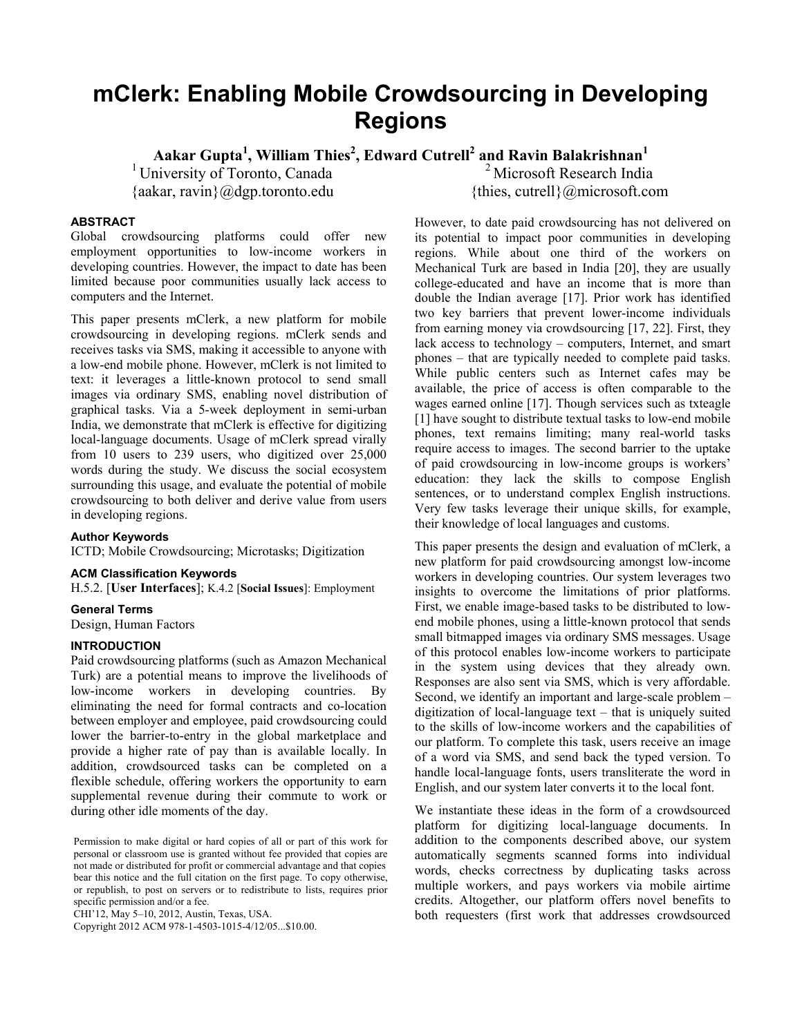# **mClerk: Enabling Mobile Crowdsourcing in Developing Regions**

**Aakar Gupta1 , William Thies2 , Edward Cutrell2 and Ravin Balakrishnan<sup>1</sup>**

<sup>1</sup> University of Toronto, Canada {aakar, ravin}@dgp.toronto.edu

<sup>2</sup> Microsoft Research India {thies, cutrell}@microsoft.com

## **ABSTRACT**

Global crowdsourcing platforms could offer new employment opportunities to low-income workers in developing countries. However, the impact to date has been limited because poor communities usually lack access to computers and the Internet.

This paper presents mClerk, a new platform for mobile crowdsourcing in developing regions. mClerk sends and receives tasks via SMS, making it accessible to anyone with a low-end mobile phone. However, mClerk is not limited to text: it leverages a little-known protocol to send small images via ordinary SMS, enabling novel distribution of graphical tasks. Via a 5-week deployment in semi-urban India, we demonstrate that mClerk is effective for digitizing local-language documents. Usage of mClerk spread virally from 10 users to 239 users, who digitized over 25,000 words during the study. We discuss the social ecosystem surrounding this usage, and evaluate the potential of mobile crowdsourcing to both deliver and derive value from users in developing regions.

## **Author Keywords**

ICTD; Mobile Crowdsourcing; Microtasks; Digitization

## **ACM Classification Keywords**

H.5.2. [**User Interfaces**]; K.4.2 [**Social Issues**]: Employment

#### **General Terms**

Design, Human Factors

### **INTRODUCTION**

Paid crowdsourcing platforms (such as Amazon Mechanical Turk) are a potential means to improve the livelihoods of low-income workers in developing countries. By eliminating the need for formal contracts and co-location between employer and employee, paid crowdsourcing could lower the barrier-to-entry in the global marketplace and provide a higher rate of pay than is available locally. In addition, crowdsourced tasks can be completed on a flexible schedule, offering workers the opportunity to earn supplemental revenue during their commute to work or during other idle moments of the day.

CHI'12, May 5–10, 2012, Austin, Texas, USA.

Copyright 2012 ACM 978-1-4503-1015-4/12/05...\$10.00.

However, to date paid crowdsourcing has not delivered on its potential to impact poor communities in developing regions. While about one third of the workers on Mechanical Turk are based in India [20], they are usually college-educated and have an income that is more than double the Indian average [17]. Prior work has identified two key barriers that prevent lower-income individuals from earning money via crowdsourcing [17, 22]. First, they lack access to technology – computers, Internet, and smart phones – that are typically needed to complete paid tasks. While public centers such as Internet cafes may be available, the price of access is often comparable to the wages earned online [17]. Though services such as txteagle [1] have sought to distribute textual tasks to low-end mobile phones, text remains limiting; many real-world tasks require access to images. The second barrier to the uptake of paid crowdsourcing in low-income groups is workers' education: they lack the skills to compose English sentences, or to understand complex English instructions. Very few tasks leverage their unique skills, for example, their knowledge of local languages and customs.

This paper presents the design and evaluation of mClerk, a new platform for paid crowdsourcing amongst low-income workers in developing countries. Our system leverages two insights to overcome the limitations of prior platforms. First, we enable image-based tasks to be distributed to lowend mobile phones, using a little-known protocol that sends small bitmapped images via ordinary SMS messages. Usage of this protocol enables low-income workers to participate in the system using devices that they already own. Responses are also sent via SMS, which is very affordable. Second, we identify an important and large-scale problem – digitization of local-language text – that is uniquely suited to the skills of low-income workers and the capabilities of our platform. To complete this task, users receive an image of a word via SMS, and send back the typed version. To handle local-language fonts, users transliterate the word in English, and our system later converts it to the local font.

We instantiate these ideas in the form of a crowdsourced platform for digitizing local-language documents. In addition to the components described above, our system automatically segments scanned forms into individual words, checks correctness by duplicating tasks across multiple workers, and pays workers via mobile airtime credits. Altogether, our platform offers novel benefits to both requesters (first work that addresses crowdsourced

Permission to make digital or hard copies of all or part of this work for personal or classroom use is granted without fee provided that copies are not made or distributed for profit or commercial advantage and that copies bear this notice and the full citation on the first page. To copy otherwise, or republish, to post on servers or to redistribute to lists, requires prior specific permission and/or a fee.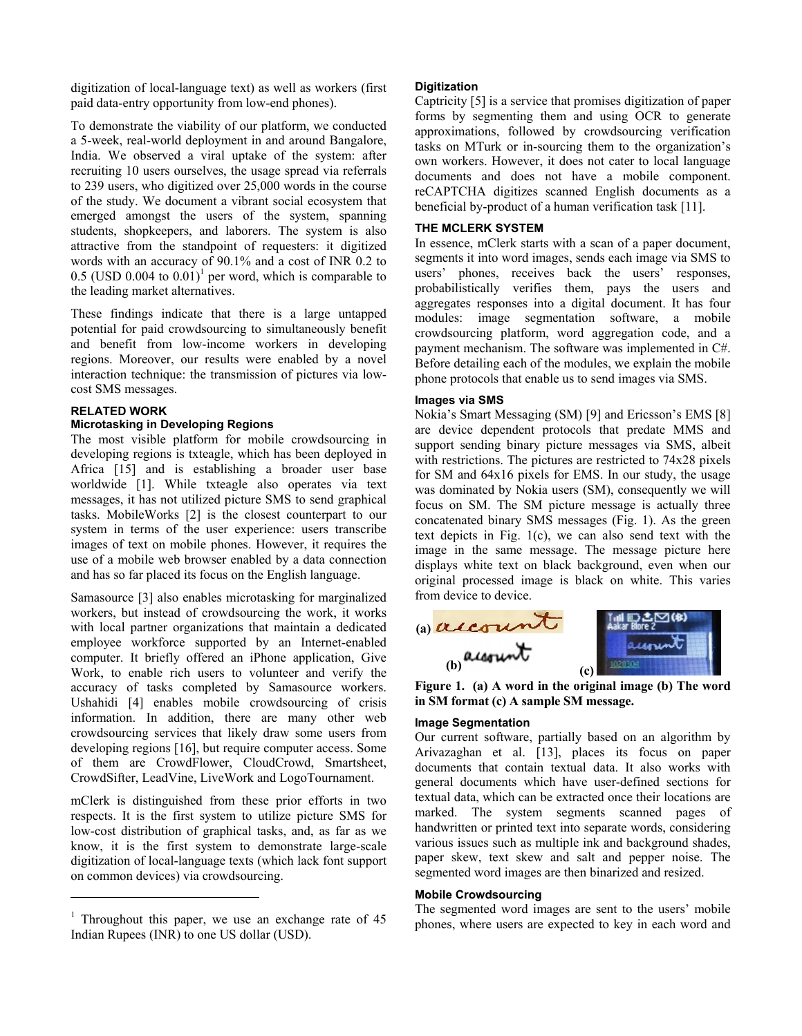digitization of local-language text) as well as workers (first paid data-entry opportunity from low-end phones).

To demonstrate the viability of our platform, we conducted a 5-week, real-world deployment in and around Bangalore, India. We observed a viral uptake of the system: after recruiting 10 users ourselves, the usage spread via referrals to 239 users, who digitized over 25,000 words in the course of the study. We document a vibrant social ecosystem that emerged amongst the users of the system, spanning students, shopkeepers, and laborers. The system is also attractive from the standpoint of requesters: it digitized words with an accuracy of 90.1% and a cost of INR 0.2 to 0.5 (USD 0.004 to  $0.01$ )<sup>1</sup> per word, which is comparable to the leading market alternatives.

These findings indicate that there is a large untapped potential for paid crowdsourcing to simultaneously benefit and benefit from low-income workers in developing regions. Moreover, our results were enabled by a novel interaction technique: the transmission of pictures via lowcost SMS messages.

# **RELATED WORK**

 $\overline{a}$ 

## **Microtasking in Developing Regions**

The most visible platform for mobile crowdsourcing in developing regions is txteagle, which has been deployed in Africa [15] and is establishing a broader user base worldwide [1]. While txteagle also operates via text messages, it has not utilized picture SMS to send graphical tasks. MobileWorks [2] is the closest counterpart to our system in terms of the user experience: users transcribe images of text on mobile phones. However, it requires the use of a mobile web browser enabled by a data connection and has so far placed its focus on the English language.

Samasource [3] also enables microtasking for marginalized workers, but instead of crowdsourcing the work, it works with local partner organizations that maintain a dedicated employee workforce supported by an Internet-enabled computer. It briefly offered an iPhone application, Give Work, to enable rich users to volunteer and verify the accuracy of tasks completed by Samasource workers. Ushahidi [4] enables mobile crowdsourcing of crisis information. In addition, there are many other web crowdsourcing services that likely draw some users from developing regions [16], but require computer access. Some of them are CrowdFlower, CloudCrowd, Smartsheet, CrowdSifter, LeadVine, LiveWork and LogoTournament.

mClerk is distinguished from these prior efforts in two respects. It is the first system to utilize picture SMS for low-cost distribution of graphical tasks, and, as far as we know, it is the first system to demonstrate large-scale digitization of local-language texts (which lack font support on common devices) via crowdsourcing.

#### **Digitization**

Captricity [5] is a service that promises digitization of paper forms by segmenting them and using OCR to generate approximations, followed by crowdsourcing verification tasks on MTurk or in-sourcing them to the organization's own workers. However, it does not cater to local language documents and does not have a mobile component. reCAPTCHA digitizes scanned English documents as a beneficial by-product of a human verification task [11].

### **THE MCLERK SYSTEM**

In essence, mClerk starts with a scan of a paper document, segments it into word images, sends each image via SMS to users' phones, receives back the users' responses, probabilistically verifies them, pays the users and aggregates responses into a digital document. It has four modules: image segmentation software, a mobile crowdsourcing platform, word aggregation code, and a payment mechanism. The software was implemented in C#. Before detailing each of the modules, we explain the mobile phone protocols that enable us to send images via SMS.

### **Images via SMS**

Nokia's Smart Messaging (SM) [9] and Ericsson's EMS [8] are device dependent protocols that predate MMS and support sending binary picture messages via SMS, albeit with restrictions. The pictures are restricted to 74x28 pixels for SM and 64x16 pixels for EMS. In our study, the usage was dominated by Nokia users (SM), consequently we will focus on SM. The SM picture message is actually three concatenated binary SMS messages (Fig. 1). As the green text depicts in Fig. 1(c), we can also send text with the image in the same message. The message picture here displays white text on black background, even when our original processed image is black on white. This varies from device to device.



**Figure 1. (a) A word in the original image (b) The word in SM format (c) A sample SM message.** 

## **Image Segmentation**

Our current software, partially based on an algorithm by Arivazaghan et al. [13], places its focus on paper documents that contain textual data. It also works with general documents which have user-defined sections for textual data, which can be extracted once their locations are marked. The system segments scanned pages of handwritten or printed text into separate words, considering various issues such as multiple ink and background shades, paper skew, text skew and salt and pepper noise. The segmented word images are then binarized and resized.

#### **Mobile Crowdsourcing**

The segmented word images are sent to the users' mobile phones, where users are expected to key in each word and

<sup>&</sup>lt;sup>1</sup> Throughout this paper, we use an exchange rate of 45 Indian Rupees (INR) to one US dollar (USD).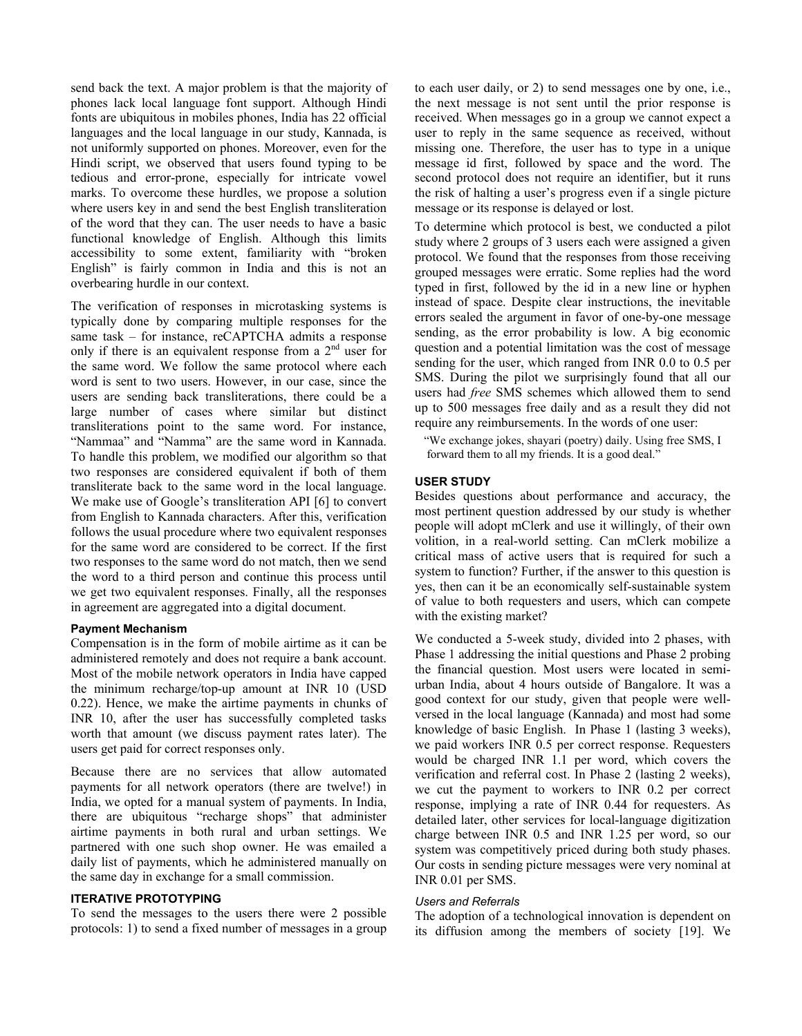send back the text. A major problem is that the majority of phones lack local language font support. Although Hindi fonts are ubiquitous in mobiles phones, India has 22 official languages and the local language in our study, Kannada, is not uniformly supported on phones. Moreover, even for the Hindi script, we observed that users found typing to be tedious and error-prone, especially for intricate vowel marks. To overcome these hurdles, we propose a solution where users key in and send the best English transliteration of the word that they can. The user needs to have a basic functional knowledge of English. Although this limits accessibility to some extent, familiarity with "broken English" is fairly common in India and this is not an overbearing hurdle in our context.

The verification of responses in microtasking systems is typically done by comparing multiple responses for the same task – for instance, reCAPTCHA admits a response only if there is an equivalent response from a  $2<sup>nd</sup>$  user for the same word. We follow the same protocol where each word is sent to two users. However, in our case, since the users are sending back transliterations, there could be a large number of cases where similar but distinct transliterations point to the same word. For instance, "Nammaa" and "Namma" are the same word in Kannada. To handle this problem, we modified our algorithm so that two responses are considered equivalent if both of them transliterate back to the same word in the local language. We make use of Google's transliteration API [6] to convert from English to Kannada characters. After this, verification follows the usual procedure where two equivalent responses for the same word are considered to be correct. If the first two responses to the same word do not match, then we send the word to a third person and continue this process until we get two equivalent responses. Finally, all the responses in agreement are aggregated into a digital document.

#### **Payment Mechanism**

Compensation is in the form of mobile airtime as it can be administered remotely and does not require a bank account. Most of the mobile network operators in India have capped the minimum recharge/top-up amount at INR 10 (USD 0.22). Hence, we make the airtime payments in chunks of INR 10, after the user has successfully completed tasks worth that amount (we discuss payment rates later). The users get paid for correct responses only.

Because there are no services that allow automated payments for all network operators (there are twelve!) in India, we opted for a manual system of payments. In India, there are ubiquitous "recharge shops" that administer airtime payments in both rural and urban settings. We partnered with one such shop owner. He was emailed a daily list of payments, which he administered manually on the same day in exchange for a small commission.

## **ITERATIVE PROTOTYPING**

To send the messages to the users there were 2 possible protocols: 1) to send a fixed number of messages in a group

to each user daily, or 2) to send messages one by one, i.e., the next message is not sent until the prior response is received. When messages go in a group we cannot expect a user to reply in the same sequence as received, without missing one. Therefore, the user has to type in a unique message id first, followed by space and the word. The second protocol does not require an identifier, but it runs the risk of halting a user's progress even if a single picture message or its response is delayed or lost.

To determine which protocol is best, we conducted a pilot study where 2 groups of 3 users each were assigned a given protocol. We found that the responses from those receiving grouped messages were erratic. Some replies had the word typed in first, followed by the id in a new line or hyphen instead of space. Despite clear instructions, the inevitable errors sealed the argument in favor of one-by-one message sending, as the error probability is low. A big economic question and a potential limitation was the cost of message sending for the user, which ranged from INR 0.0 to 0.5 per SMS. During the pilot we surprisingly found that all our users had *free* SMS schemes which allowed them to send up to 500 messages free daily and as a result they did not require any reimbursements. In the words of one user:

"We exchange jokes, shayari (poetry) daily. Using free SMS, I forward them to all my friends. It is a good deal."

### **USER STUDY**

Besides questions about performance and accuracy, the most pertinent question addressed by our study is whether people will adopt mClerk and use it willingly, of their own volition, in a real-world setting. Can mClerk mobilize a critical mass of active users that is required for such a system to function? Further, if the answer to this question is yes, then can it be an economically self-sustainable system of value to both requesters and users, which can compete with the existing market?

We conducted a 5-week study, divided into 2 phases, with Phase 1 addressing the initial questions and Phase 2 probing the financial question. Most users were located in semiurban India, about 4 hours outside of Bangalore. It was a good context for our study, given that people were wellversed in the local language (Kannada) and most had some knowledge of basic English. In Phase 1 (lasting 3 weeks), we paid workers INR 0.5 per correct response. Requesters would be charged INR 1.1 per word, which covers the verification and referral cost. In Phase 2 (lasting 2 weeks), we cut the payment to workers to INR 0.2 per correct response, implying a rate of INR 0.44 for requesters. As detailed later, other services for local-language digitization charge between INR 0.5 and INR 1.25 per word, so our system was competitively priced during both study phases. Our costs in sending picture messages were very nominal at INR 0.01 per SMS.

## *Users and Referrals*

The adoption of a technological innovation is dependent on its diffusion among the members of society [19]. We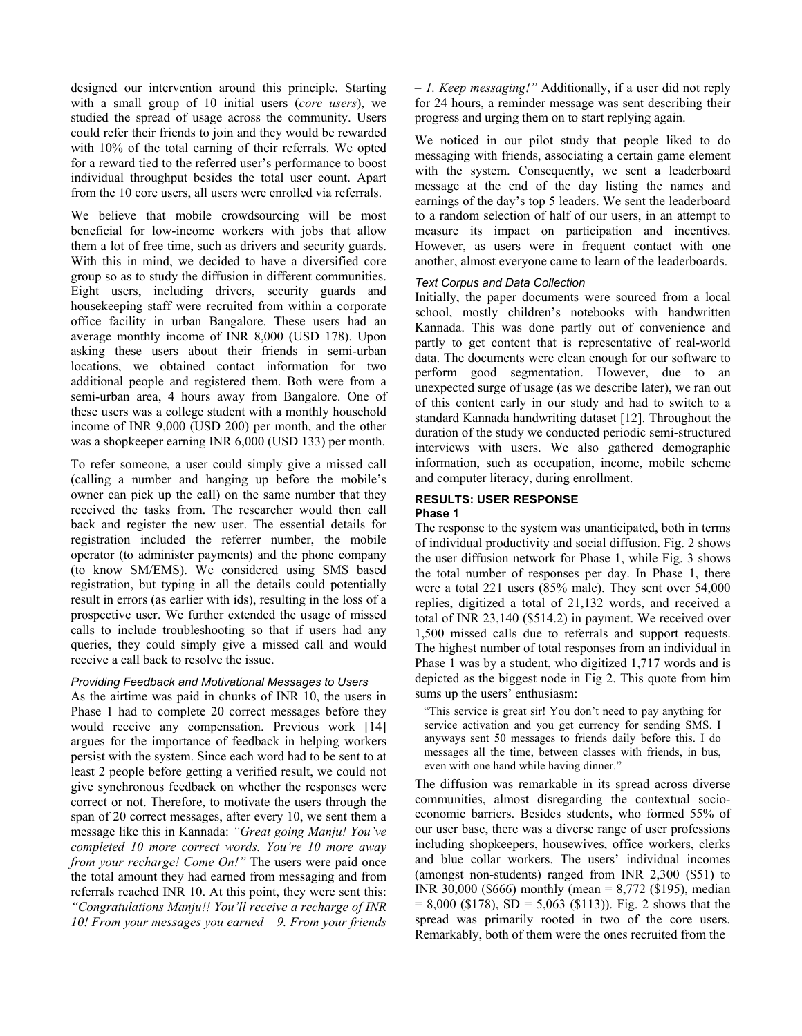designed our intervention around this principle. Starting with a small group of 10 initial users (*core users*), we studied the spread of usage across the community. Users could refer their friends to join and they would be rewarded with 10% of the total earning of their referrals. We opted for a reward tied to the referred user's performance to boost individual throughput besides the total user count. Apart from the 10 core users, all users were enrolled via referrals.

We believe that mobile crowdsourcing will be most beneficial for low-income workers with jobs that allow them a lot of free time, such as drivers and security guards. With this in mind, we decided to have a diversified core group so as to study the diffusion in different communities. Eight users, including drivers, security guards and housekeeping staff were recruited from within a corporate office facility in urban Bangalore. These users had an average monthly income of INR 8,000 (USD 178). Upon asking these users about their friends in semi-urban locations, we obtained contact information for two additional people and registered them. Both were from a semi-urban area, 4 hours away from Bangalore. One of these users was a college student with a monthly household income of INR 9,000 (USD 200) per month, and the other was a shopkeeper earning INR 6,000 (USD 133) per month.

To refer someone, a user could simply give a missed call (calling a number and hanging up before the mobile's owner can pick up the call) on the same number that they received the tasks from. The researcher would then call back and register the new user. The essential details for registration included the referrer number, the mobile operator (to administer payments) and the phone company (to know SM/EMS). We considered using SMS based registration, but typing in all the details could potentially result in errors (as earlier with ids), resulting in the loss of a prospective user. We further extended the usage of missed calls to include troubleshooting so that if users had any queries, they could simply give a missed call and would receive a call back to resolve the issue.

## *Providing Feedback and Motivational Messages to Users*

As the airtime was paid in chunks of INR 10, the users in Phase 1 had to complete 20 correct messages before they would receive any compensation. Previous work [14] argues for the importance of feedback in helping workers persist with the system. Since each word had to be sent to at least 2 people before getting a verified result, we could not give synchronous feedback on whether the responses were correct or not. Therefore, to motivate the users through the span of 20 correct messages, after every 10, we sent them a message like this in Kannada: *"Great going Manju! You've completed 10 more correct words. You're 10 more away from your recharge! Come On!"* The users were paid once the total amount they had earned from messaging and from referrals reached INR 10. At this point, they were sent this: *"Congratulations Manju!! You'll receive a recharge of INR 10! From your messages you earned – 9. From your friends* 

*– 1. Keep messaging!"* Additionally, if a user did not reply for 24 hours, a reminder message was sent describing their progress and urging them on to start replying again.

We noticed in our pilot study that people liked to do messaging with friends, associating a certain game element with the system. Consequently, we sent a leaderboard message at the end of the day listing the names and earnings of the day's top 5 leaders. We sent the leaderboard to a random selection of half of our users, in an attempt to measure its impact on participation and incentives. However, as users were in frequent contact with one another, almost everyone came to learn of the leaderboards.

## *Text Corpus and Data Collection*

Initially, the paper documents were sourced from a local school, mostly children's notebooks with handwritten Kannada. This was done partly out of convenience and partly to get content that is representative of real-world data. The documents were clean enough for our software to perform good segmentation. However, due to an unexpected surge of usage (as we describe later), we ran out of this content early in our study and had to switch to a standard Kannada handwriting dataset [12]. Throughout the duration of the study we conducted periodic semi-structured interviews with users. We also gathered demographic information, such as occupation, income, mobile scheme and computer literacy, during enrollment.

## **RESULTS: USER RESPONSE**

#### **Phase 1**

The response to the system was unanticipated, both in terms of individual productivity and social diffusion. Fig. 2 shows the user diffusion network for Phase 1, while Fig. 3 shows the total number of responses per day. In Phase 1, there were a total 221 users (85% male). They sent over 54,000 replies, digitized a total of 21,132 words, and received a total of INR 23,140 (\$514.2) in payment. We received over 1,500 missed calls due to referrals and support requests. The highest number of total responses from an individual in Phase 1 was by a student, who digitized 1,717 words and is depicted as the biggest node in Fig 2. This quote from him sums up the users' enthusiasm:

"This service is great sir! You don't need to pay anything for service activation and you get currency for sending SMS. I anyways sent 50 messages to friends daily before this. I do messages all the time, between classes with friends, in bus, even with one hand while having dinner."

The diffusion was remarkable in its spread across diverse communities, almost disregarding the contextual socioeconomic barriers. Besides students, who formed 55% of our user base, there was a diverse range of user professions including shopkeepers, housewives, office workers, clerks and blue collar workers. The users' individual incomes (amongst non-students) ranged from INR 2,300 (\$51) to INR 30,000 (\$666) monthly (mean = 8,772 (\$195), median  $= 8,000$  (\$178), SD = 5,063 (\$113)). Fig. 2 shows that the spread was primarily rooted in two of the core users. Remarkably, both of them were the ones recruited from the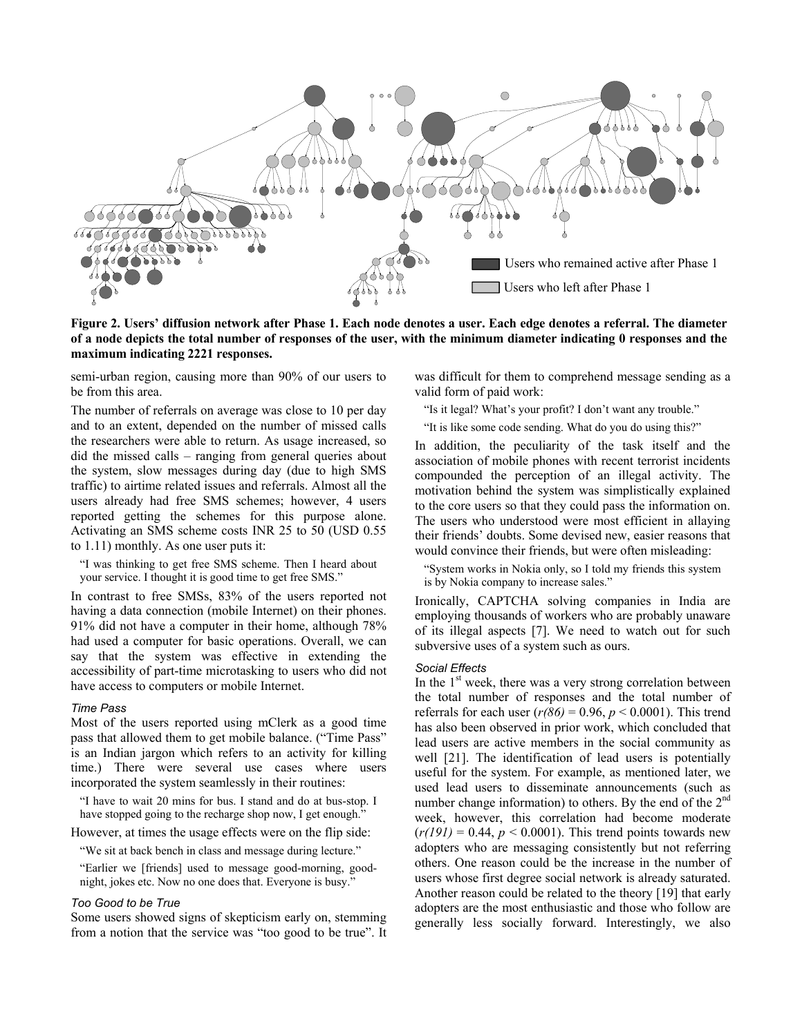

**Figure 2. Users' diffusion network after Phase 1. Each node denotes a user. Each edge denotes a referral. The diameter of a node depicts the total number of responses of the user, with the minimum diameter indicating 0 responses and the maximum indicating 2221 responses.** 

semi-urban region, causing more than 90% of our users to be from this area.

The number of referrals on average was close to 10 per day and to an extent, depended on the number of missed calls the researchers were able to return. As usage increased, so did the missed calls – ranging from general queries about the system, slow messages during day (due to high SMS traffic) to airtime related issues and referrals. Almost all the users already had free SMS schemes; however, 4 users reported getting the schemes for this purpose alone. Activating an SMS scheme costs INR 25 to 50 (USD 0.55 to 1.11) monthly. As one user puts it:

"I was thinking to get free SMS scheme. Then I heard about your service. I thought it is good time to get free SMS."

In contrast to free SMSs, 83% of the users reported not having a data connection (mobile Internet) on their phones. 91% did not have a computer in their home, although 78% had used a computer for basic operations. Overall, we can say that the system was effective in extending the accessibility of part-time microtasking to users who did not have access to computers or mobile Internet.

#### *Time Pass*

Most of the users reported using mClerk as a good time pass that allowed them to get mobile balance. ("Time Pass" is an Indian jargon which refers to an activity for killing time.) There were several use cases where users incorporated the system seamlessly in their routines:

"I have to wait 20 mins for bus. I stand and do at bus-stop. I have stopped going to the recharge shop now, I get enough.'

However, at times the usage effects were on the flip side:

"We sit at back bench in class and message during lecture."

"Earlier we [friends] used to message good-morning, goodnight, jokes etc. Now no one does that. Everyone is busy."

#### *Too Good to be True*

Some users showed signs of skepticism early on, stemming from a notion that the service was "too good to be true". It

was difficult for them to comprehend message sending as a valid form of paid work:

"Is it legal? What's your profit? I don't want any trouble."

"It is like some code sending. What do you do using this?"

In addition, the peculiarity of the task itself and the association of mobile phones with recent terrorist incidents compounded the perception of an illegal activity. The motivation behind the system was simplistically explained to the core users so that they could pass the information on. The users who understood were most efficient in allaying their friends' doubts. Some devised new, easier reasons that would convince their friends, but were often misleading:

"System works in Nokia only, so I told my friends this system is by Nokia company to increase sales."

Ironically, CAPTCHA solving companies in India are employing thousands of workers who are probably unaware of its illegal aspects [7]. We need to watch out for such subversive uses of a system such as ours.

## *Social Effects*

In the 1<sup>st</sup> week, there was a very strong correlation between the total number of responses and the total number of referrals for each user  $(r(86) = 0.96, p < 0.0001)$ . This trend has also been observed in prior work, which concluded that lead users are active members in the social community as well [21]. The identification of lead users is potentially useful for the system. For example, as mentioned later, we used lead users to disseminate announcements (such as number change information) to others. By the end of the 2<sup>nd</sup> week, however, this correlation had become moderate  $(r(191) = 0.44, p < 0.0001)$ . This trend points towards new adopters who are messaging consistently but not referring others. One reason could be the increase in the number of users whose first degree social network is already saturated. Another reason could be related to the theory [19] that early adopters are the most enthusiastic and those who follow are generally less socially forward. Interestingly, we also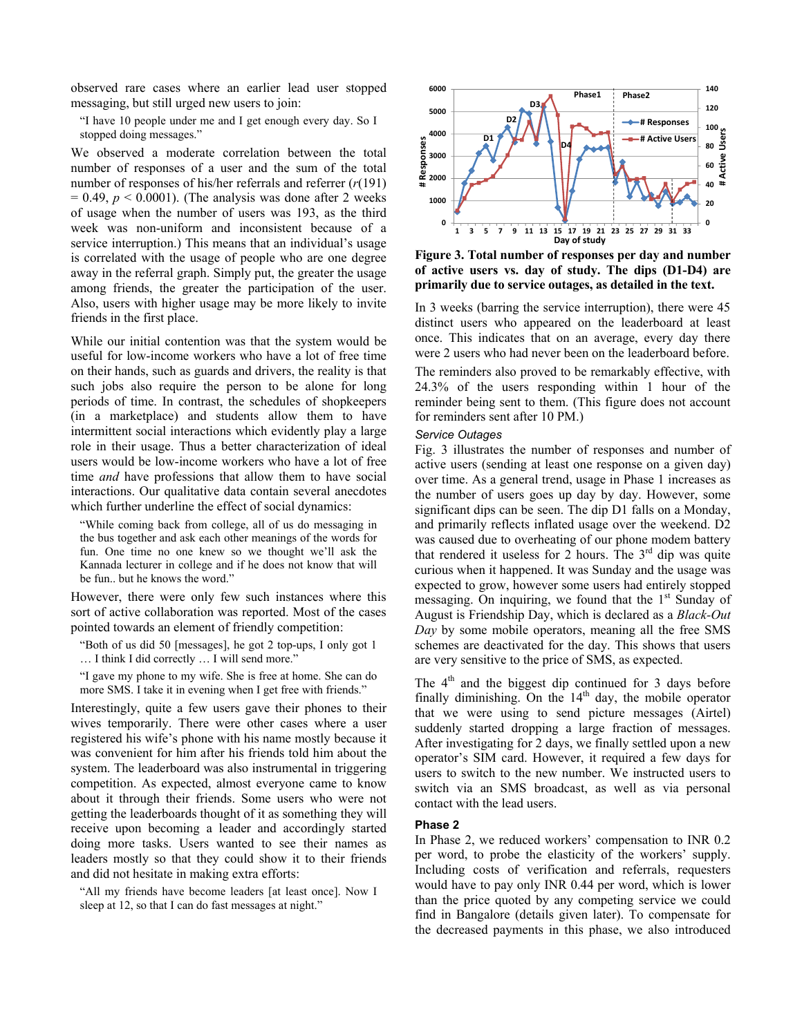observed rare cases where an earlier lead user stopped messaging, but still urged new users to join:

"I have 10 people under me and I get enough every day. So I stopped doing messages."

We observed a moderate correlation between the total number of responses of a user and the sum of the total number of responses of his/her referrals and referrer (*r*(191)  $= 0.49$ ,  $p < 0.0001$ ). (The analysis was done after 2 weeks of usage when the number of users was 193, as the third week was non-uniform and inconsistent because of a service interruption.) This means that an individual's usage is correlated with the usage of people who are one degree away in the referral graph. Simply put, the greater the usage among friends, the greater the participation of the user. Also, users with higher usage may be more likely to invite friends in the first place.

While our initial contention was that the system would be useful for low-income workers who have a lot of free time on their hands, such as guards and drivers, the reality is that such jobs also require the person to be alone for long periods of time. In contrast, the schedules of shopkeepers (in a marketplace) and students allow them to have intermittent social interactions which evidently play a large role in their usage. Thus a better characterization of ideal users would be low-income workers who have a lot of free time *and* have professions that allow them to have social interactions. Our qualitative data contain several anecdotes which further underline the effect of social dynamics:

"While coming back from college, all of us do messaging in the bus together and ask each other meanings of the words for fun. One time no one knew so we thought we'll ask the Kannada lecturer in college and if he does not know that will be fun.. but he knows the word."

However, there were only few such instances where this sort of active collaboration was reported. Most of the cases pointed towards an element of friendly competition:

"Both of us did 50 [messages], he got 2 top-ups, I only got 1 … I think I did correctly … I will send more."

"I gave my phone to my wife. She is free at home. She can do more SMS. I take it in evening when I get free with friends."

Interestingly, quite a few users gave their phones to their wives temporarily. There were other cases where a user registered his wife's phone with his name mostly because it was convenient for him after his friends told him about the system. The leaderboard was also instrumental in triggering competition. As expected, almost everyone came to know about it through their friends. Some users who were not getting the leaderboards thought of it as something they will receive upon becoming a leader and accordingly started doing more tasks. Users wanted to see their names as leaders mostly so that they could show it to their friends and did not hesitate in making extra efforts:

"All my friends have become leaders [at least once]. Now I sleep at 12, so that I can do fast messages at night."



**Figure 3. Total number of responses per day and number of active users vs. day of study. The dips (D1-D4) are primarily due to service outages, as detailed in the text.**

In 3 weeks (barring the service interruption), there were 45 distinct users who appeared on the leaderboard at least once. This indicates that on an average, every day there were 2 users who had never been on the leaderboard before.

The reminders also proved to be remarkably effective, with 24.3% of the users responding within 1 hour of the reminder being sent to them. (This figure does not account for reminders sent after 10 PM.)

#### *Service Outages*

Fig. 3 illustrates the number of responses and number of active users (sending at least one response on a given day) over time. As a general trend, usage in Phase 1 increases as the number of users goes up day by day. However, some significant dips can be seen. The dip D1 falls on a Monday, and primarily reflects inflated usage over the weekend. D2 was caused due to overheating of our phone modem battery that rendered it useless for 2 hours. The  $3<sup>rd</sup>$  dip was quite curious when it happened. It was Sunday and the usage was expected to grow, however some users had entirely stopped messaging. On inquiring, we found that the  $1<sup>st</sup>$  Sunday of August is Friendship Day, which is declared as a *Black-Out Day* by some mobile operators, meaning all the free SMS schemes are deactivated for the day. This shows that users are very sensitive to the price of SMS, as expected.

The  $4<sup>th</sup>$  and the biggest dip continued for 3 days before finally diminishing. On the  $14<sup>th</sup>$  day, the mobile operator that we were using to send picture messages (Airtel) suddenly started dropping a large fraction of messages. After investigating for 2 days, we finally settled upon a new operator's SIM card. However, it required a few days for users to switch to the new number. We instructed users to switch via an SMS broadcast, as well as via personal contact with the lead users.

#### **Phase 2**

In Phase 2, we reduced workers' compensation to INR 0.2 per word, to probe the elasticity of the workers' supply. Including costs of verification and referrals, requesters would have to pay only INR 0.44 per word, which is lower than the price quoted by any competing service we could find in Bangalore (details given later). To compensate for the decreased payments in this phase, we also introduced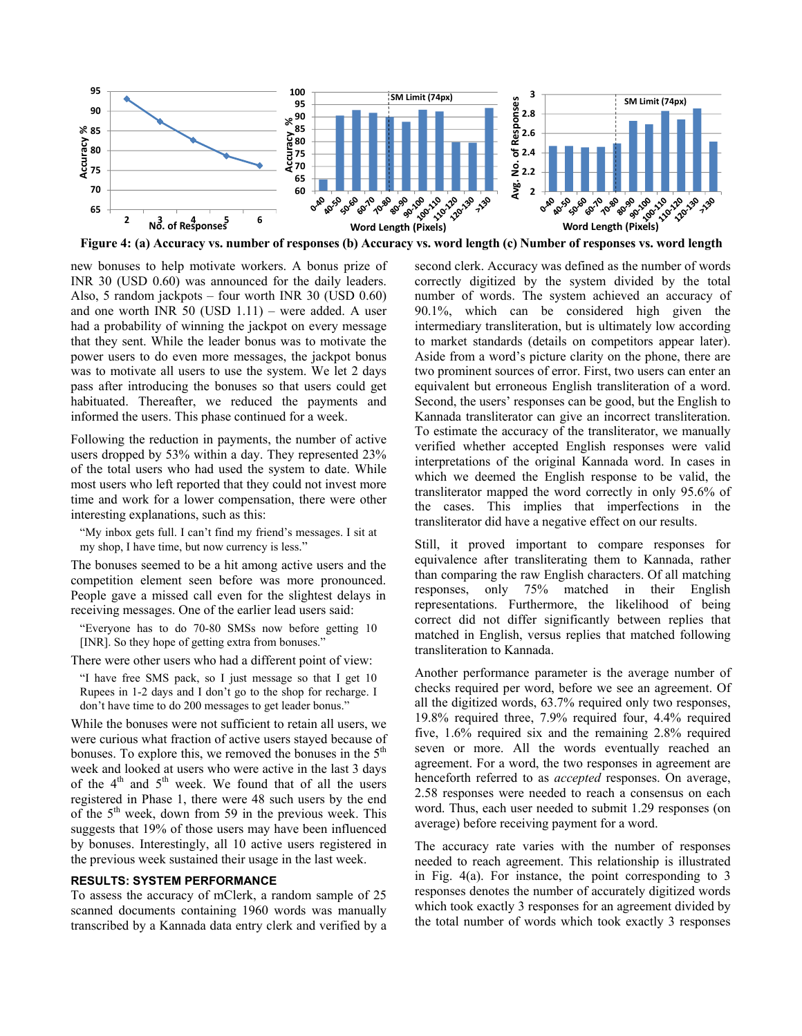

new bonuses to help motivate workers. A bonus prize of INR 30 (USD 0.60) was announced for the daily leaders. Also, 5 random jackpots – four worth INR 30 (USD 0.60) and one worth INR 50 (USD 1.11) – were added. A user had a probability of winning the jackpot on every message that they sent. While the leader bonus was to motivate the power users to do even more messages, the jackpot bonus was to motivate all users to use the system. We let 2 days pass after introducing the bonuses so that users could get habituated. Thereafter, we reduced the payments and informed the users. This phase continued for a week.

Following the reduction in payments, the number of active users dropped by 53% within a day. They represented 23% of the total users who had used the system to date. While most users who left reported that they could not invest more time and work for a lower compensation, there were other interesting explanations, such as this:

"My inbox gets full. I can't find my friend's messages. I sit at my shop, I have time, but now currency is less."

The bonuses seemed to be a hit among active users and the competition element seen before was more pronounced. People gave a missed call even for the slightest delays in receiving messages. One of the earlier lead users said:

"Everyone has to do 70-80 SMSs now before getting 10 [INR]. So they hope of getting extra from bonuses."

There were other users who had a different point of view:

"I have free SMS pack, so I just message so that I get 10 Rupees in 1-2 days and I don't go to the shop for recharge. I don't have time to do 200 messages to get leader bonus."

While the bonuses were not sufficient to retain all users, we were curious what fraction of active users stayed because of bonuses. To explore this, we removed the bonuses in the  $5<sup>th</sup>$ week and looked at users who were active in the last 3 days of the  $4<sup>th</sup>$  and  $5<sup>th</sup>$  week. We found that of all the users registered in Phase 1, there were 48 such users by the end of the  $5<sup>th</sup>$  week, down from 59 in the previous week. This suggests that 19% of those users may have been influenced by bonuses. Interestingly, all 10 active users registered in the previous week sustained their usage in the last week.

#### **RESULTS: SYSTEM PERFORMANCE**

To assess the accuracy of mClerk, a random sample of 25 scanned documents containing 1960 words was manually transcribed by a Kannada data entry clerk and verified by a

second clerk. Accuracy was defined as the number of words correctly digitized by the system divided by the total number of words. The system achieved an accuracy of 90.1%, which can be considered high given the intermediary transliteration, but is ultimately low according to market standards (details on competitors appear later). Aside from a word's picture clarity on the phone, there are two prominent sources of error. First, two users can enter an equivalent but erroneous English transliteration of a word. Second, the users' responses can be good, but the English to Kannada transliterator can give an incorrect transliteration. To estimate the accuracy of the transliterator, we manually verified whether accepted English responses were valid interpretations of the original Kannada word. In cases in which we deemed the English response to be valid, the transliterator mapped the word correctly in only 95.6% of the cases. This implies that imperfections in the transliterator did have a negative effect on our results.

Still, it proved important to compare responses for equivalence after transliterating them to Kannada, rather than comparing the raw English characters. Of all matching responses, only 75% matched in their English representations. Furthermore, the likelihood of being correct did not differ significantly between replies that matched in English, versus replies that matched following transliteration to Kannada.

Another performance parameter is the average number of checks required per word, before we see an agreement. Of all the digitized words, 63.7% required only two responses, 19.8% required three, 7.9% required four, 4.4% required five, 1.6% required six and the remaining 2.8% required seven or more. All the words eventually reached an agreement. For a word, the two responses in agreement are henceforth referred to as *accepted* responses. On average, 2.58 responses were needed to reach a consensus on each word. Thus, each user needed to submit 1.29 responses (on average) before receiving payment for a word.

The accuracy rate varies with the number of responses needed to reach agreement. This relationship is illustrated in Fig. 4(a). For instance, the point corresponding to 3 responses denotes the number of accurately digitized words which took exactly 3 responses for an agreement divided by the total number of words which took exactly 3 responses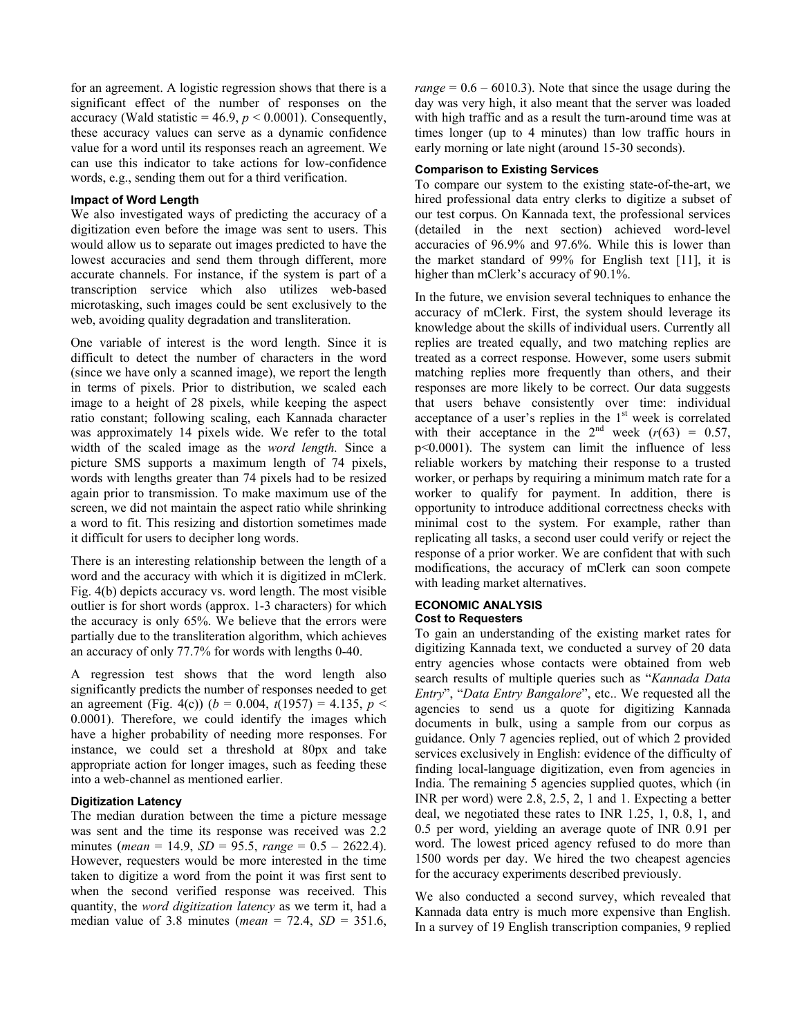for an agreement. A logistic regression shows that there is a significant effect of the number of responses on the accuracy (Wald statistic =  $46.9$ ,  $p < 0.0001$ ). Consequently, these accuracy values can serve as a dynamic confidence value for a word until its responses reach an agreement. We can use this indicator to take actions for low-confidence words, e.g., sending them out for a third verification.

## **Impact of Word Length**

We also investigated ways of predicting the accuracy of a digitization even before the image was sent to users. This would allow us to separate out images predicted to have the lowest accuracies and send them through different, more accurate channels. For instance, if the system is part of a transcription service which also utilizes web-based microtasking, such images could be sent exclusively to the web, avoiding quality degradation and transliteration.

One variable of interest is the word length. Since it is difficult to detect the number of characters in the word (since we have only a scanned image), we report the length in terms of pixels. Prior to distribution, we scaled each image to a height of 28 pixels, while keeping the aspect ratio constant; following scaling, each Kannada character was approximately 14 pixels wide. We refer to the total width of the scaled image as the *word length.* Since a picture SMS supports a maximum length of 74 pixels, words with lengths greater than 74 pixels had to be resized again prior to transmission. To make maximum use of the screen, we did not maintain the aspect ratio while shrinking a word to fit. This resizing and distortion sometimes made it difficult for users to decipher long words.

There is an interesting relationship between the length of a word and the accuracy with which it is digitized in mClerk. Fig. 4(b) depicts accuracy vs. word length. The most visible outlier is for short words (approx. 1-3 characters) for which the accuracy is only 65%. We believe that the errors were partially due to the transliteration algorithm, which achieves an accuracy of only 77.7% for words with lengths 0-40.

A regression test shows that the word length also significantly predicts the number of responses needed to get an agreement (Fig. 4(c)) ( $b = 0.004$ ,  $t(1957) = 4.135$ ,  $p <$ 0.0001). Therefore, we could identify the images which have a higher probability of needing more responses. For instance, we could set a threshold at 80px and take appropriate action for longer images, such as feeding these into a web-channel as mentioned earlier.

# **Digitization Latency**

The median duration between the time a picture message was sent and the time its response was received was 2.2 minutes (*mean* = 14.9, *SD* = 95.5, *range* = 0.5 – 2622.4). However, requesters would be more interested in the time taken to digitize a word from the point it was first sent to when the second verified response was received. This quantity, the *word digitization latency* as we term it, had a median value of 3.8 minutes (*mean* = 72.4, *SD* = 351.6, *range* =  $0.6 - 6010.3$ . Note that since the usage during the day was very high, it also meant that the server was loaded with high traffic and as a result the turn-around time was at times longer (up to 4 minutes) than low traffic hours in early morning or late night (around 15-30 seconds).

## **Comparison to Existing Services**

To compare our system to the existing state-of-the-art, we hired professional data entry clerks to digitize a subset of our test corpus. On Kannada text, the professional services (detailed in the next section) achieved word-level accuracies of 96.9% and 97.6%. While this is lower than the market standard of 99% for English text [11], it is higher than mClerk's accuracy of 90.1%.

In the future, we envision several techniques to enhance the accuracy of mClerk. First, the system should leverage its knowledge about the skills of individual users. Currently all replies are treated equally, and two matching replies are treated as a correct response. However, some users submit matching replies more frequently than others, and their responses are more likely to be correct. Our data suggests that users behave consistently over time: individual acceptance of a user's replies in the  $1<sup>st</sup>$  week is correlated with their acceptance in the  $2<sup>nd</sup>$  week  $(r(63) = 0.57)$ , p<0.0001). The system can limit the influence of less reliable workers by matching their response to a trusted worker, or perhaps by requiring a minimum match rate for a worker to qualify for payment. In addition, there is opportunity to introduce additional correctness checks with minimal cost to the system. For example, rather than replicating all tasks, a second user could verify or reject the response of a prior worker. We are confident that with such modifications, the accuracy of mClerk can soon compete with leading market alternatives.

### **ECONOMIC ANALYSIS Cost to Requesters**

To gain an understanding of the existing market rates for digitizing Kannada text, we conducted a survey of 20 data entry agencies whose contacts were obtained from web search results of multiple queries such as "*Kannada Data Entry*", "*Data Entry Bangalore*", etc.. We requested all the agencies to send us a quote for digitizing Kannada documents in bulk, using a sample from our corpus as guidance. Only 7 agencies replied, out of which 2 provided services exclusively in English: evidence of the difficulty of finding local-language digitization, even from agencies in India. The remaining 5 agencies supplied quotes, which (in INR per word) were 2.8, 2.5, 2, 1 and 1. Expecting a better deal, we negotiated these rates to INR 1.25, 1, 0.8, 1, and 0.5 per word, yielding an average quote of INR 0.91 per word. The lowest priced agency refused to do more than 1500 words per day. We hired the two cheapest agencies for the accuracy experiments described previously.

We also conducted a second survey, which revealed that Kannada data entry is much more expensive than English. In a survey of 19 English transcription companies, 9 replied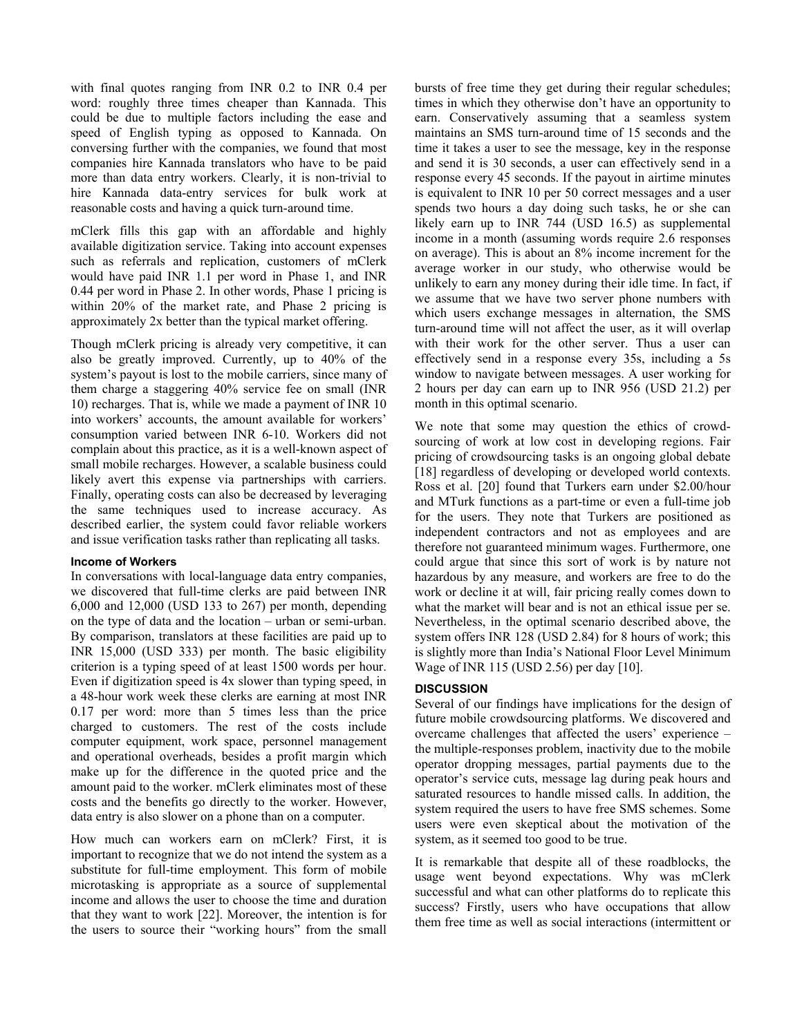with final quotes ranging from INR 0.2 to INR 0.4 per word: roughly three times cheaper than Kannada. This could be due to multiple factors including the ease and speed of English typing as opposed to Kannada. On conversing further with the companies, we found that most companies hire Kannada translators who have to be paid more than data entry workers. Clearly, it is non-trivial to hire Kannada data-entry services for bulk work at reasonable costs and having a quick turn-around time.

mClerk fills this gap with an affordable and highly available digitization service. Taking into account expenses such as referrals and replication, customers of mClerk would have paid INR 1.1 per word in Phase 1, and INR 0.44 per word in Phase 2. In other words, Phase 1 pricing is within 20% of the market rate, and Phase 2 pricing is approximately 2x better than the typical market offering.

Though mClerk pricing is already very competitive, it can also be greatly improved. Currently, up to 40% of the system's payout is lost to the mobile carriers, since many of them charge a staggering 40% service fee on small (INR 10) recharges. That is, while we made a payment of INR 10 into workers' accounts, the amount available for workers' consumption varied between INR 6-10. Workers did not complain about this practice, as it is a well-known aspect of small mobile recharges. However, a scalable business could likely avert this expense via partnerships with carriers. Finally, operating costs can also be decreased by leveraging the same techniques used to increase accuracy. As described earlier, the system could favor reliable workers and issue verification tasks rather than replicating all tasks.

## **Income of Workers**

In conversations with local-language data entry companies, we discovered that full-time clerks are paid between INR 6,000 and 12,000 (USD 133 to 267) per month, depending on the type of data and the location – urban or semi-urban. By comparison, translators at these facilities are paid up to INR 15,000 (USD 333) per month. The basic eligibility criterion is a typing speed of at least 1500 words per hour. Even if digitization speed is 4x slower than typing speed, in a 48-hour work week these clerks are earning at most INR 0.17 per word: more than 5 times less than the price charged to customers. The rest of the costs include computer equipment, work space, personnel management and operational overheads, besides a profit margin which make up for the difference in the quoted price and the amount paid to the worker. mClerk eliminates most of these costs and the benefits go directly to the worker. However, data entry is also slower on a phone than on a computer.

How much can workers earn on mClerk? First, it is important to recognize that we do not intend the system as a substitute for full-time employment. This form of mobile microtasking is appropriate as a source of supplemental income and allows the user to choose the time and duration that they want to work [22]. Moreover, the intention is for the users to source their "working hours" from the small

bursts of free time they get during their regular schedules; times in which they otherwise don't have an opportunity to earn. Conservatively assuming that a seamless system maintains an SMS turn-around time of 15 seconds and the time it takes a user to see the message, key in the response and send it is 30 seconds, a user can effectively send in a response every 45 seconds. If the payout in airtime minutes is equivalent to INR 10 per 50 correct messages and a user spends two hours a day doing such tasks, he or she can likely earn up to INR 744 (USD 16.5) as supplemental income in a month (assuming words require 2.6 responses on average). This is about an 8% income increment for the average worker in our study, who otherwise would be unlikely to earn any money during their idle time. In fact, if we assume that we have two server phone numbers with which users exchange messages in alternation, the SMS turn-around time will not affect the user, as it will overlap with their work for the other server. Thus a user can effectively send in a response every 35s, including a 5s window to navigate between messages. A user working for 2 hours per day can earn up to INR 956 (USD 21.2) per month in this optimal scenario.

We note that some may question the ethics of crowdsourcing of work at low cost in developing regions. Fair pricing of crowdsourcing tasks is an ongoing global debate [18] regardless of developing or developed world contexts. Ross et al. [20] found that Turkers earn under \$2.00/hour and MTurk functions as a part-time or even a full-time job for the users. They note that Turkers are positioned as independent contractors and not as employees and are therefore not guaranteed minimum wages. Furthermore, one could argue that since this sort of work is by nature not hazardous by any measure, and workers are free to do the work or decline it at will, fair pricing really comes down to what the market will bear and is not an ethical issue per se. Nevertheless, in the optimal scenario described above, the system offers INR 128 (USD 2.84) for 8 hours of work; this is slightly more than India's National Floor Level Minimum Wage of INR 115 (USD 2.56) per day [10].

# **DISCUSSION**

Several of our findings have implications for the design of future mobile crowdsourcing platforms. We discovered and overcame challenges that affected the users' experience – the multiple-responses problem, inactivity due to the mobile operator dropping messages, partial payments due to the operator's service cuts, message lag during peak hours and saturated resources to handle missed calls. In addition, the system required the users to have free SMS schemes. Some users were even skeptical about the motivation of the system, as it seemed too good to be true.

It is remarkable that despite all of these roadblocks, the usage went beyond expectations. Why was mClerk successful and what can other platforms do to replicate this success? Firstly, users who have occupations that allow them free time as well as social interactions (intermittent or